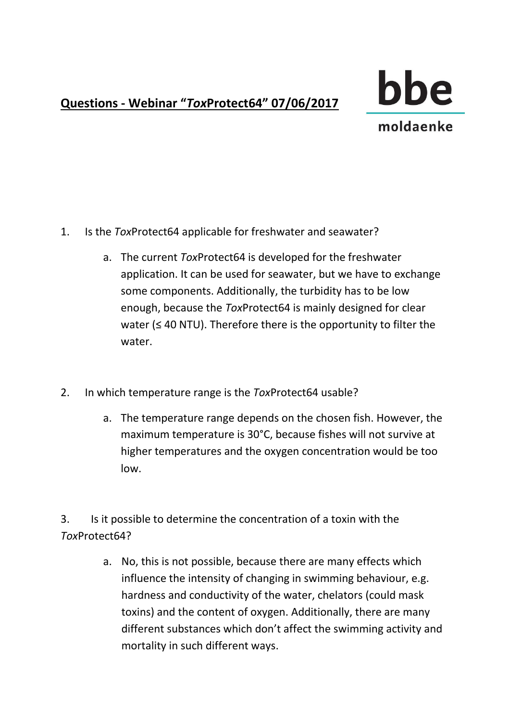## **Questions - Webinar "***Tox***Protect64" 07/06/2017**



## 1. Is the *Tox*Protect64 applicable for freshwater and seawater?

- a. The current *Tox*Protect64 is developed for the freshwater application. It can be used for seawater, but we have to exchange some components. Additionally, the turbidity has to be low enough, because the *Tox*Protect64 is mainly designed for clear water (≤ 40 NTU). Therefore there is the opportunity to filter the water.
- 2. In which temperature range is the *Tox*Protect64 usable?
	- a. The temperature range depends on the chosen fish. However, the maximum temperature is 30°C, because fishes will not survive at higher temperatures and the oxygen concentration would be too low.

3. Is it possible to determine the concentration of a toxin with the *Tox*Protect64?

> a. No, this is not possible, because there are many effects which influence the intensity of changing in swimming behaviour, e.g. hardness and conductivity of the water, chelators (could mask toxins) and the content of oxygen. Additionally, there are many different substances which don't affect the swimming activity and mortality in such different ways.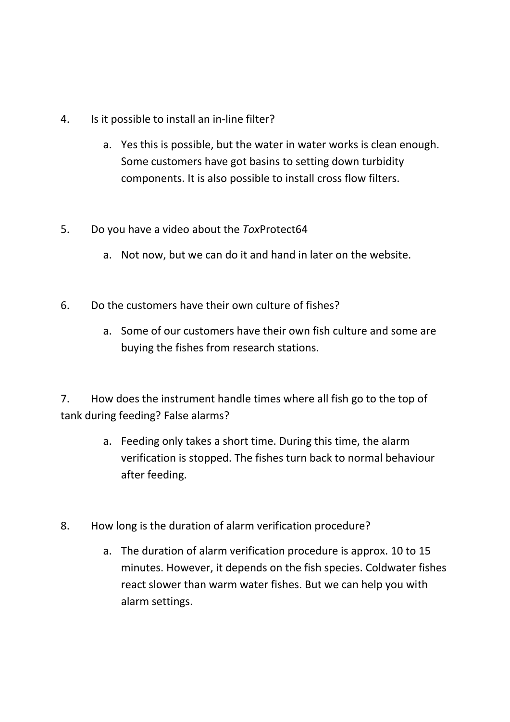- 4. Is it possible to install an in-line filter?
	- a. Yes this is possible, but the water in water works is clean enough. Some customers have got basins to setting down turbidity components. It is also possible to install cross flow filters.
- 5. Do you have a video about the *Tox*Protect64
	- a. Not now, but we can do it and hand in later on the website.
- 6. Do the customers have their own culture of fishes?
	- a. Some of our customers have their own fish culture and some are buying the fishes from research stations.

7. How does the instrument handle times where all fish go to the top of tank during feeding? False alarms?

- a. Feeding only takes a short time. During this time, the alarm verification is stopped. The fishes turn back to normal behaviour after feeding.
- 8. How long is the duration of alarm verification procedure?
	- a. The duration of alarm verification procedure is approx. 10 to 15 minutes. However, it depends on the fish species. Coldwater fishes react slower than warm water fishes. But we can help you with alarm settings.